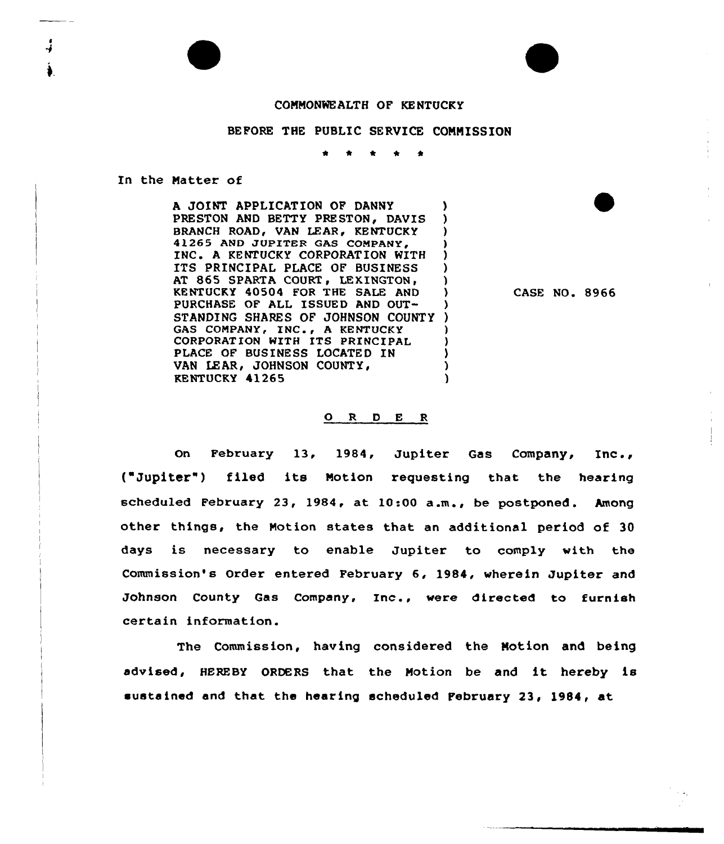## COMMONWEALTH OF KENTUCKY

## BEFORE THE PUBLIC SERVICE COMMISSION

 $\bullet$  $\bullet$ \*  $\overline{\phantom{a}}$ 

In the Natter of

A JOINT APPLICATION OF DANNY PRESTON AND BETTY PRESTON, DAVIS )<br>BRANCH ROAD. VAN LEAR. KENTUCKY BRANCH ROAD, VAN LEAR, KENTUCKY 41265 AND JUPITER GAS COMPANY, INC. A KENTUCKY CORPORATION WITH ITS PRINCIPAL PLACE OF BUSINESS AT 865 SPARTA COURT, LEXINGTON, KENTUCKY 40504 FOR THE SALE AND ) PURCHASE OF ALL ISSUED AND OUT- ) STANDING SHARES OF JOHNSON COUNTY ) GAS COMPANY, INC., A KENTUCKY CORPORATION WITH ITS PRINCIPAL PLACE OF BUSINESS LOCATED IN VAN LEAR, JOHNSON COUNTY, KENTUCKY 41265 )

CASE NO. 8966

F

## ORDER

On February 13, 1984, Jupiter Gas Company, Inc., {"Jupiter") filed its Notion requesting that the hearing scheduled February 23, 1984, at 10:00 a.m., be postponed. Among other things, the Notion states that an additional period of 30 days is necessary to enable Jupiter to comply with the Commission's Order entered February 6, 1984, wherein Jupiter and Johnson County Gas Company, Inc., were directed to furnish certain information.

The Commission, having considered the Motion and being advised, HEREBY ORDERS that the Motion be and it hereby is sustained and that the hearing scheduled February 23, 1984, at